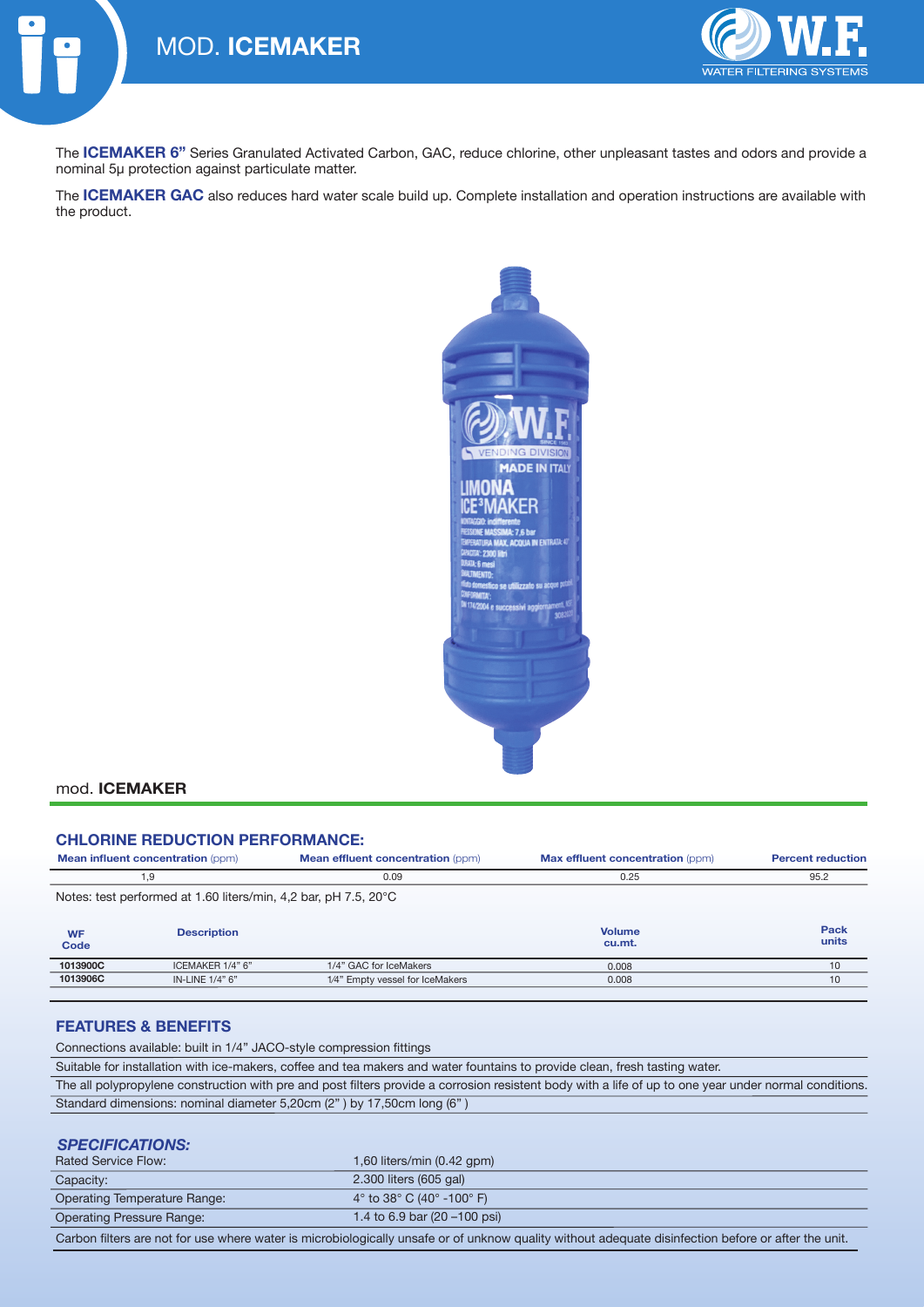

The **ICEMAKER 6"** Series Granulated Activated Carbon, GAC, reduce chlorine, other unpleasant tastes and odors and provide a nominal 5μ protection against particulate matter.

The **ICEMAKER GAC** also reduces hard water scale build up. Complete installation and operation instructions are available with the product.



### mod. **ICEMAKER**

#### **CHLORINE REDUCTION PERFORMANCE:**

IN-LINE 1/4" 6"

| <b>Mean influent concentration (ppm)</b>                         |                    | <b>Mean effluent concentration (ppm)</b> | Max effluent concentration (ppm) | <b>Percent reduction</b> |
|------------------------------------------------------------------|--------------------|------------------------------------------|----------------------------------|--------------------------|
| 1,9                                                              |                    | 0.09                                     | 0.25                             | 95.2                     |
| Notes: test performed at 1.60 liters/min, 4,2 bar, pH 7.5, 20 °C |                    |                                          |                                  |                          |
| <b>WF</b><br>Code                                                | <b>Description</b> |                                          | <b>Volume</b><br>cu.mt.          | Pack<br>units            |
| 1013900C                                                         | ICEMAKER 1/4" 6"   | 1/4" GAC for IceMakers                   | 0.008                            | 10                       |

0.008

10

### **FEATURES & BENEFITS**

**1013906C**

Connections available: built in 1/4" JACO-style compression fittings

Suitable for installation with ice-makers, coffee and tea makers and water fountains to provide clean, fresh tasting water.

1⁄4" Empty vessel for IceMakers

| The all polypropylene construction with pre and post filters provide a corrosion resistent body with a life of up to one year under normal conditions. |
|--------------------------------------------------------------------------------------------------------------------------------------------------------|
| Standard dimensions: nominal diameter 5,20cm (2") by 17,50cm long (6")                                                                                 |

#### *SPECIFICATIONS:*

| <b>Rated Service Flow:</b>                                                                                                                          | $1,60$ liters/min $(0.42$ gpm $)$                             |  |  |
|-----------------------------------------------------------------------------------------------------------------------------------------------------|---------------------------------------------------------------|--|--|
| Capacity:                                                                                                                                           | 2.300 liters (605 gal)                                        |  |  |
| Operating Temperature Range:                                                                                                                        | 4 $\degree$ to 38 $\degree$ C (40 $\degree$ -100 $\degree$ F) |  |  |
| <b>Operating Pressure Range:</b>                                                                                                                    | 1.4 to 6.9 bar $(20 - 100 \text{ psi})$                       |  |  |
| Carbon filters are not for use where water is microbiologically unsafe or of unknow quality without adequate disinfection before or after the unit. |                                                               |  |  |